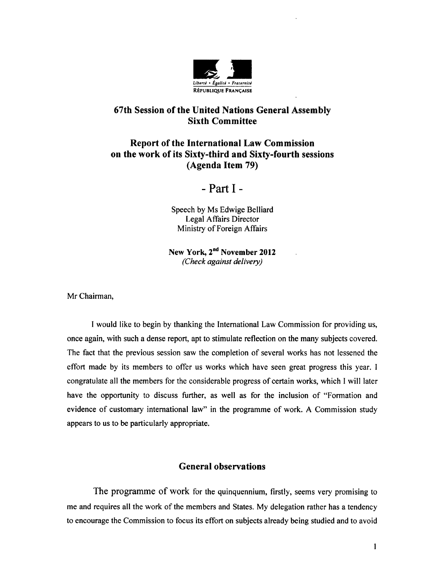

# 67th Session of the United Nations General Assembly Sixth Committee

# **Report of the International Law Commission <sup>011</sup>the work of its Sixty-third and Sixty-fourth sessions (Agenda Item 79)**

- Part I -

Speech by Ms Edwige Belliard Legal Affairs Director Ministry of Foreign Affairs

**New York, 2nd November 2012**  *(Check against delivery)* 

Mr Chairman,

I would like to begin by thanking the International Law Commission for providing us, once again, with such a dense report, apt to stimulate reflection on the many subjects covered. The fact that the previous session saw the completion of several works has not lessened the effort made by its members to offer us works which have seen great progress this year. I congratulate all the members for the considerable progress of certain works, which I will later have the opportunity to discuss further, as well as for the inclusion of "Formation and evidence of customary international law" in the programme of work. A Commission study appears to us to be particularly appropriate.

### **General observations**

The programme of work for the quinquennium, firstly, seems very promising to me and requires all the work of the members and States. My delegation rather has a tendency to encourage the Commission to focus its effort on subjects already being studied and to avoid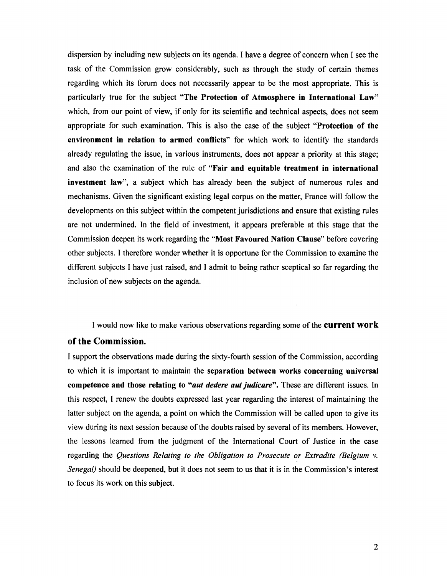dispersion by including new subjects on its agenda. I have a degree of concern when I see the task of the Commission grow considerably, such as through the study of certain themes regarding which its forum does not necessarily appear to be the most appropriate. This is particularly true for the subject **"The Protection of Atmosphere in International Law"**  which, from our point of view, if only for its scientific and technical aspects, does not seem appropriate for such examination. This is also the case of the subject **"Protection of the environment in relation to armed conflicts"** for which work to identify the standards already regulating the issue, in various instruments, does not appear a priority at this stage; and also the examination of the rule of **"Fair and equitable treatment in international investment law",** a subject which has already been the subject of numerous rules and mechanisms. Given the significant existing legal corpus on the matter, France will follow the developments on this subject within the competent jurisdictions and ensure that existing rules are not undermined. In the field of investment, it appears preferable at this stage that the Commission deepen its work regarding the **"Most Favoured Nation Clause"** before covering other subjects. I therefore wonder whether it is opportune for the Commission to examine the different subjects I have just raised, and I admit to being rather sceptical so far regarding the inclusion of new subjects on the agenda.

I would now like to make various observations regarding some of the **current work** 

### **of the Commission.**

I support the observations made during the sixty-fourth session of the Commission, according to which it is important to maintain the **separation between works concerning universal competence and those relating to** *"aut dedere aut judicare".* These are different issues. In this respect, I renew the doubts expressed last year regarding the interest of maintaining the latter subject on the agenda, a point on which the Commission will be called upon to give its view during its next session because of the doubts raised by several of its members. However, the lessons learned from the judgment of the International Court of Justice in the case regarding the *Questions Relating to the Obligation to Prosecute or Extradite (Belgium v. Senegal)* should be deepened, but it does not seem to us that it is in the Commission's interest to focus its work on this subject.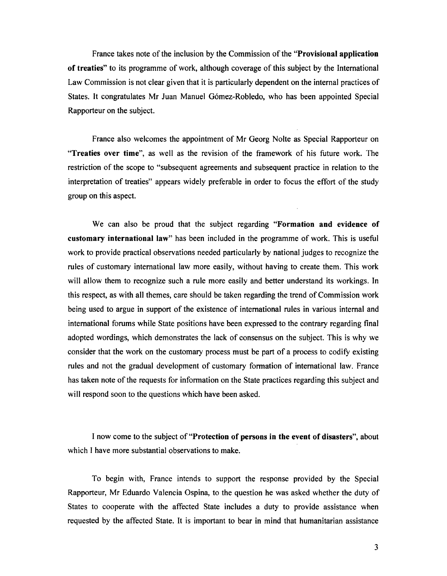France takes note of the inclusion by the Commission of the **"Provisional application of treaties"** to its programme of work, although coverage of this subject by the International Law Commission is not clear given that it is particularly dependent on the internal practices of States. It congratulates Mr Juan Manuel Gomez-Robledo, who has been appointed Special Rapporteur on the subject.

France also welcomes the appointment of Mr Georg Nolte as Special Rapporteur on **"Treaties over time",** as well as the revision of the framework of his future work. The restriction of the scope to "subsequent agreements and subsequent practice in relation to the interpretation of treaties" appears widely preferable in order to focus the effort of the study group on this aspect.

We can also be proud that the subject regarding **"Formation and evidence of customary international law"** has been included in the programme of work. This is useful work to provide practical observations needed particularly by national judges to recognize the rules of customary international law more easily, without having to create them. This work will allow them to recognize such a rule more easily and better understand its workings. In this respect, as with all themes, care should be taken regarding the trend of Commission work being used to argue in support of the existence of international rules in various internal and international forums while State positions have been expressed to the contrary regarding final adopted wordings, which demonstrates the lack of consensus on the subject. This is why we consider that the work on the customary process must be part of a process to codify existing rules and not the gradual development of customary formation of international law. France has taken note of the requests for information on the State practices regarding this subject and will respond soon to the questions which have been asked.

I now come to the subject of **"Protection of persons in the event of disasters",** about which I have more substantial observations to make.

To begin with, France intends to support the response provided by the Special Rapporteur, Mr Eduardo Valencia Ospina, to the question he was asked whether the duty of States to cooperate with the affected State includes a duty to provide assistance when requested by the affected State. It is important to bear in mind that humanitarian assistance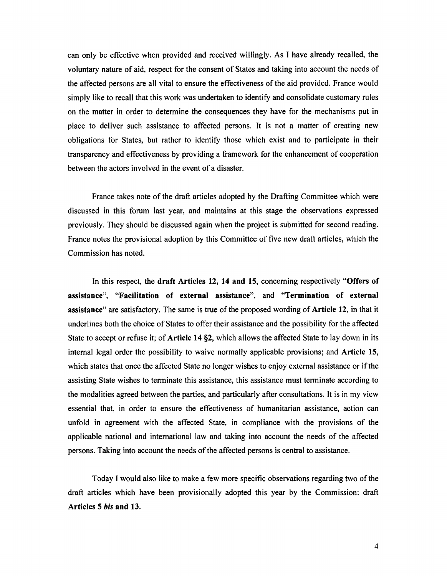can only be effective when provided and received willingly. As I have already recalled, the voluntary nature of aid, respect for the consent of States and taking into account the needs of the affected persons are all vital to ensure the effectiveness of the aid provided. France would simply like to recall that this work was undertaken to identify and consolidate customary rules on the matter in order to determine the consequences they have for the mechanisms put in place to deliver such assistance to affected persons. It is not a matter of creating new obligations for States, but rather to identify those which exist and to participate in their transparency and effectiveness by providing a framework for the enhancement of cooperation between the actors involved in the event of a disaster.

France takes note of the draft articles adopted by the Drafting Committee which were discussed in this forum last year, and maintains at this stage the observations expressed previously. They should be discussed again when the project is submitted for second reading. France notes the provisional adoption by this Committee of five new draft articles, which the Commission has noted.

In this respect, the **draft Articles 12, 14 and 15,** concerning respectively **"Offers of assistance", "Facilitation of external assistance",** and **"Termination of external assistance"** are satisfactory. The same is true of the proposed wording of **Article 12,** in that it underlines both the choice of States to offer their assistance and the possibility for the affected State to accept or refuse it; of **Article 14 §2,** which allows the affected State to lay down in its internal legal order the possibility to waive normally applicable provisions; and **Article 15,**  which states that once the affected State no longer wishes to enjoy external assistance or if the assisting State wishes to terminate this assistance, this assistance must terminate according to the modalities agreed between the parties, and particularly after consultations. It is in my view essential that, in order to ensure the effectiveness of humanitarian assistance, action can unfold in agreement with the affected State, in compliance with the provisions of the applicable national and international law and taking into account the needs of the affected persons. Taking into account the needs of the affected persons is central to assistance.

Today I would also like to make a few more specific observations regarding two of the draft articles which have been provisionally adopted this year by the Commission: draft **Articles 5** *bis* **and 13.**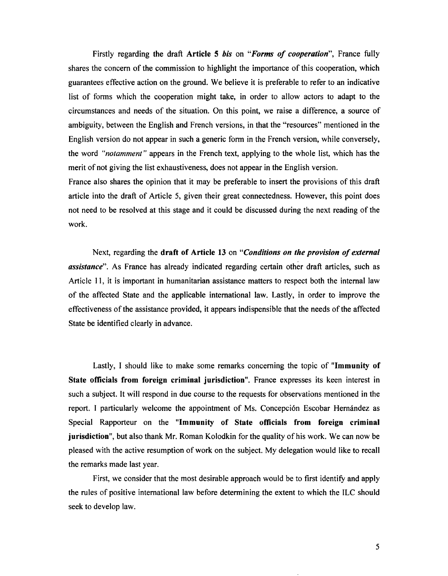Firstly regarding the draft **Article 5** *bis* on *"Forms of cooperation",* France fully shares the concern of the commission to highlight the importance of this cooperation, which guarantees effective action on the ground. We believe it is preferable to refer to an indicative list of forms which the cooperation might take, in order to allow actors to adapt to the circumstances and needs of the situation. On this point, we raise a difference, a source of ambiguity, between the English and French versions, in that the "resources" mentioned in the English version do not appear in such a generic form in the French version, while conversely, the word *"notamment"* appears in the French text, applying to the whole list, which has the merit of not giving the list exhaustiveness, does not appear in the English version.

France also shares the opinion that it may be preferable to insert the provisions of this draft article into the draft of Article 5, given their great connectedness. However, this point does not need to be resolved at this stage and it could be discussed during the next reading of the work.

Next, regarding the **draft of Article 13** on *"Conditions on the provision of external assistance".* As France has already indicated regarding certain other draft articles, such as Article 11, it is important in humanitarian assistance matters to respect both the internal law of the affected State and the applicable international law. Lastly, in order to improve the effectiveness of the assistance provided, it appears indispensible that the needs of the affected State be identified clearly in advance.

Lastly, I should like to make some remarks concerning the topic of **"Immunity of State officials from foreign criminal jurisdiction".** France expresses its keen interest in such a subject. It will respond in due course to the requests for observations mentioned in the report. I particularly welcome the appointment of Ms. Concepción Escobar Hernández as Special Rapporteur on the **"Immunity of State officials from foreign criminal jurisdiction",** but also thank Mr. Roman Kolodkin for the quality of his work. We can now be pleased with the active resumption of work on the subject. My delegation would like to recall the remarks made last year.

First, we consider that the most desirable approach would be to first identify and apply the rules of positive international law before determining the extent to which the ILC should seek to develop law.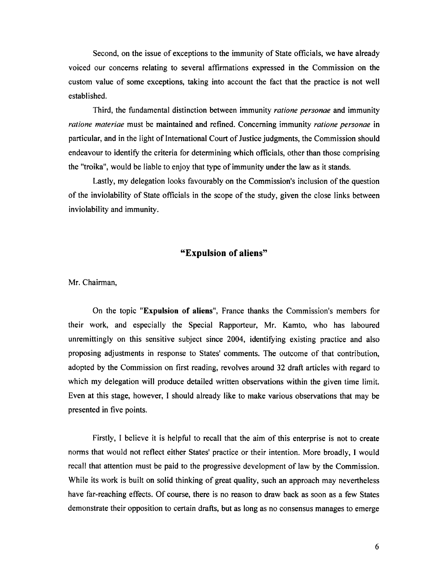Second, on the issue of exceptions to the immunity of State officials, we have already voiced our concerns relating to several affirmations expressed in the Commission on the custom value of some exceptions, taking into account the fact that the practice is not well established.

Third, the fundamental distinction between immunity *ratione personae* and immunity *ratione materiae* must be maintained and refined. Concerning immunity *ratione personae* in particular, and in the light of International Court of Justice judgments, the Commission should endeavour to identify the criteria for determining which officials, other than those comprising the "troika", would be liable to enjoy that type of immunity under the law as it stands.

Lastly, my delegation looks favourably on the Commission's inclusion of the question of the inviolability of State officials in the scope of the study, given the close links between inviolability and immunity.

#### **"Expulsion of aliens"**

Mr. Chairman,

On the topic **"Expulsion of aliens",** France thanks the Commission's members for their work, and especially the Special Rapporteur, Mr. Kamto, who has laboured unremittingly on this sensitive subject since 2004, identifying existing practice and also proposing adjustments in response to States' comments. The outcome of that contribution, adopted by the Commission on first reading, revolves around 32 draft articles with regard to which my delegation will produce detailed written observations within the given time limit. Even at this stage, however, I should already like to make various observations that may be presented in five points.

Firstly, I believe it is helpful to recall that the aim of this enterprise is not to create norms that would not reflect either States' practice or their intention. More broadly, I would recall that attention must be paid to the progressive development of law by the Commission. While its work is built on solid thinking of great quality, such an approach may nevertheless have far-reaching effects. Of course, there is no reason to draw back as soon as a few States demonstrate their opposition to certain drafts, but as long as no consensus manages to emerge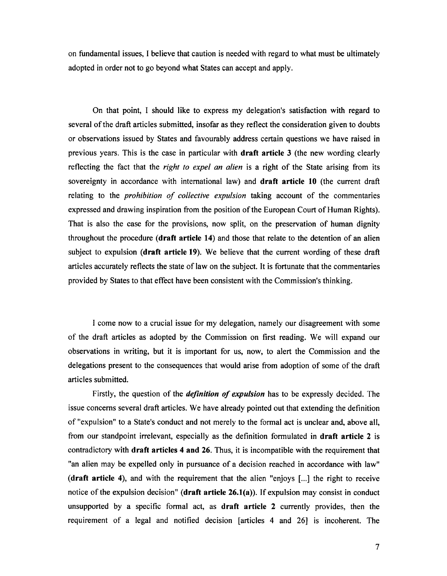on fundamental issues, I believe that caution is needed with regard to what must be ultimately adopted in order not to go beyond what States can accept and apply.

On that point, I should like to express my delegation's satisfaction with regard to several of the draft articles submitted, insofar as they reflect the consideration given to doubts or observations issued by States and favourably address certain questions we have raised in previous years. This is the case in particular with **draft article 3** (the new wording clearly reflecting the fact that the *right to expel an alien* is a right of the State arising from its sovereignty in accordance with international law) and **draft article 10** (the current draft relating to the *prohibition of collective expulsion* taking account of the commentaries expressed and drawing inspiration from the position of the European Court of Human Rights). That is also the case for the provisions, now split, on the preservation of human dignity throughout the procedure **(draft article 14)** and those that relate to the detention of an alien subject to expulsion **(draft article 19).** We believe that the current wording of these draft articles accurately reflects the state of law on the subject. It is fortunate that the commentaries provided by States to that effect have been consistent with the Commission's thinking.

I come now to a crucial issue for my delegation, namely our disagreement with some of the draft articles as adopted by the Commission on first reading. We will expand our observations in writing, but it is important for us, now, to alert the Commission and the delegations present to the consequences that would arise from adoption of some of the draft articles submitted.

Firstly, the question of the *definition of expulsion* has to be expressly decided. The issue concerns several draft articles. We have already pointed out that extending the definition of "expulsion" to a State's conduct and not merely to the formal act is unclear and, above all, from our standpoint irrelevant, especially as the definition formulated in **draft article 2** is contradictory with **draft articles 4 and 26.** Thus, it is incompatible with the requirement that "an alien may be expelled only in pursuance of a decision reached in accordance with law" **(draft article 4),** and with the requirement that the alien "enjoys [...] the right to receive notice of the expulsion decision" **(draft article 26.l(a)).** If expulsion may consist in conduct unsupported by a specific formal act, as **draft article 2** currently provides, then the requirement of a legal and notified decision [articles 4 and 26] is incoherent. The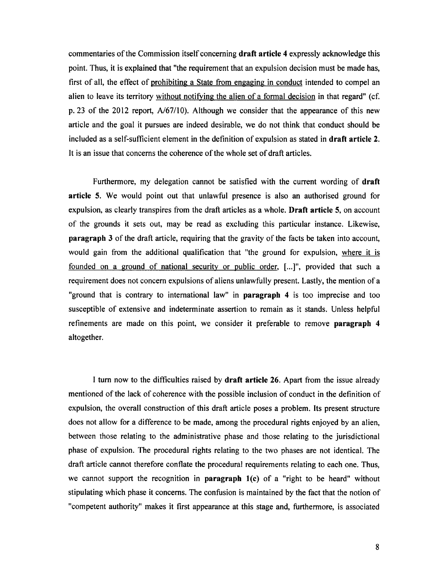commentaries of the Commission itself concerning **draft article 4** expressly acknowledge this point. Thus, it is explained that "the requirement that an expulsion decision must be made has, first of all, the effect of prohibiting a State from engaging in conduct intended to compel an alien to leave its territory without notifying the alien of a formal decision in that regard" (cf. p. 23 of the 2012 report,  $A/67/10$ ). Although we consider that the appearance of this new article and the goal it pursues are indeed desirable, we do not think that conduct should be included as a self-sufficient element in the definition of expulsion as stated in **draft article 2.**  It is an issue that concerns the coherence of the whole set of draft articles.

Furthermore, my delegation cannot be satisfied with the current wording of **draft article 5.** We would point out that unlawful presence is also an authorised ground for expulsion, as clearly transpires from the draft articles as a whole. **Draft article 5,** on account of the grounds it sets out, may be read as excluding this particular instance. Likewise, **paragraph 3** of the draft article, requiring that the gravity of the facts be taken into account, would gain from the additional qualification that "the ground for expulsion, where it is founded on a ground of national security or public order, [...]", provided that such a requirement does not concern expulsions of aliens unlawfully present. Lastly, the mention of a "ground that is contrary to international law" in **paragraph 4** is too imprecise and too susceptible of extensive and indeterminate assertion to remain as it stands. Unless helpful refinements are made on this point, we consider it preferable to remove **paragraph 4**  altogether.

I tum now to the difficulties raised by **draft article 26.** Apart from the issue already mentioned of the lack of coherence with the possible inclusion of conduct in the definition of expulsion, the overall construction of this draft article poses a problem. Its present structure does not allow for a difference to be made, among the procedural rights enjoyed by an alien, between those relating to the administrative phase and those relating to the jurisdictional phase of expulsion. The procedural rights relating to the two phases are not identical. The draft article cannot therefore conflate the procedural requirements relating to each one. Thus, we cannot support the recognition in **paragraph l(c)** of a "right to be heard" without stipulating which phase it concerns. The confusion is maintained by the fact that the notion of "competent authority" makes it first appearance at this stage and, furthermore, is associated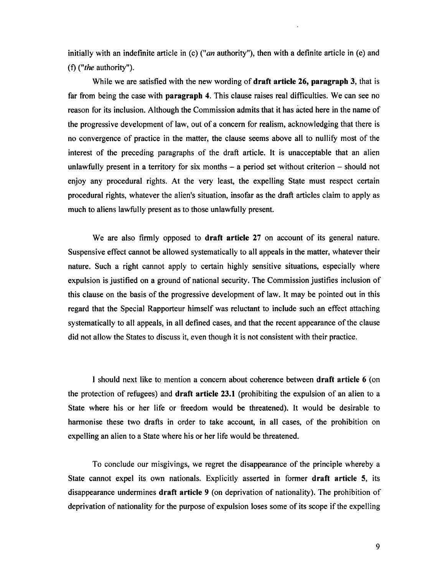initially with an indefinite article in (c) ("an authority"), then with a definite article in (e) and (f) *("the* authority").

While we are satisfied with the new wording of **draft article 26, paragraph 3,** that is far from being the case with **paragraph 4.** This clause raises real difficulties. We can see no reason for its inclusion. Although the Commission admits that it has acted here in the name of the progressive development of law, out of a concern for realism, acknowledging that there is no convergence of practice in the matter, the clause seems above all to nullify most of the interest of the preceding paragraphs of the draft article. It is unacceptable that an alien unlawfully present in a territory for six months  $-$  a period set without criterion  $-$  should not enjoy any procedural rights. At the very least, the expelling State must respect certain procedural rights, whatever the alien's situation, insofar as the draft articles claim to apply as much to aliens lawfully present as to those unlawfully present.

We are also firmly opposed to **draft article 27** on account of its general nature. Suspensive effect cannot be allowed systematically to all appeals in the matter, whatever their nature. Such a right cannot apply to certain highly sensitive situations, especially where expulsion is justified on a ground of national security. The Commission justifies inclusion of this clause on the basis of the progressive development of law. It may be pointed out in this regard that the Special Rapporteur himself was reluctant to include such an effect attaching systematically to all appeals, in all defined cases, and that the recent appearance of the clause did not allow the States to discuss it, even though it is not consistent with their practice.

I should next like to mention a concern about coherence between **draft article 6** ( on the protection of refugees) and **draft article 23.1** (prohibiting the expulsion of an alien to a State where his or her life or freedom would be threatened). It would be desirable to harmonise these two drafts in order to take account, in all cases, of the prohibition on expelling an alien to a State where his or her life would be threatened.

To conclude our misgivings, we regret the disappearance of the principle whereby a State cannot expel its own nationals. Explicitly asserted in former **draft article 5,** its disappearance undermines **draft article 9** (on deprivation of nationality). The prohibition of deprivation of nationality for the purpose of expulsion loses some of its scope if the expelling